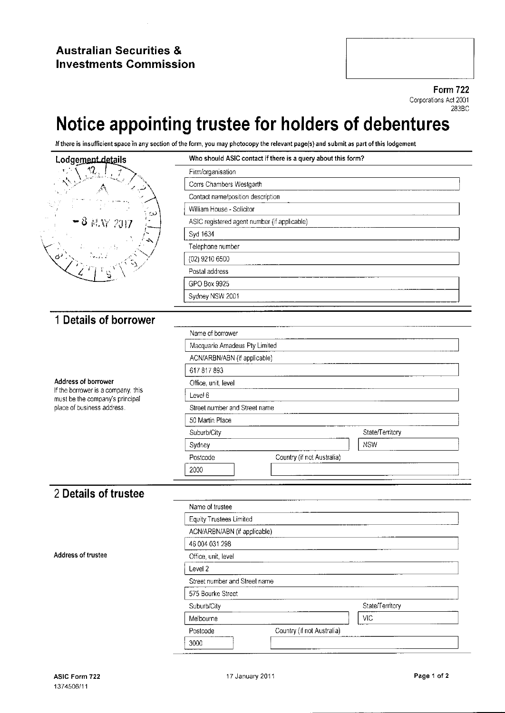### Australian Securities & Investments Commission

Form 722 Corporations Act 2001 283BC

# Notice appointing trustee for holders of debentures

If there is insufficient space in any section of the form, it may be the relevant page.



| Who should ASIC contact if there is a query about this form? |
|--------------------------------------------------------------|
| Firm/organisation                                            |
| Corrs Chambers Westgarth                                     |
| Contact name/position description                            |
| William House - Solicitor                                    |
| ASIC registered agent number (if applicable)                 |
| Syd 1634                                                     |
| Telephone number                                             |
| (02) 9210 6500                                               |
| Postal address                                               |
| GPO Box 9925                                                 |
| Sydney NSW 2001                                              |

# <sup>1</sup> Details of borrower

Address of borrower<br>
If the borrower is a company, this<br>
must be the company's principal must be the company's principal  $\Box$ <br>place of business address. place of business address.

| Name of borrower              |                            |                 |
|-------------------------------|----------------------------|-----------------|
| Macquarie Amadeus Pty Limited |                            |                 |
| ACN/ARBN/ABN (if applicable)  |                            |                 |
| 617817893                     |                            |                 |
| Office, unit, level           |                            |                 |
| Level 6                       |                            |                 |
| Street number and Street name |                            |                 |
| 50 Martin Place               |                            |                 |
| Suburb/City                   |                            | State/Territory |
| Sydney                        |                            | <b>NSW</b>      |
| Postcode                      | Country (if not Australia) |                 |

## 2 Details of trustee

| Name of trustee                        |                 |
|----------------------------------------|-----------------|
| Equity Trustees Limited                |                 |
| ACN/ARBN/ABN (if applicable)           |                 |
| 46 004 031 298                         |                 |
| Office, unit, level                    |                 |
| Level 2                                |                 |
| Street number and Street name          |                 |
| 575 Bourke Street                      |                 |
| Suburb/City                            | State/Territory |
| Melbourne                              | VIC             |
| Country (if not Australia)<br>Postcode |                 |
| 3000                                   |                 |

Address of trustee

2000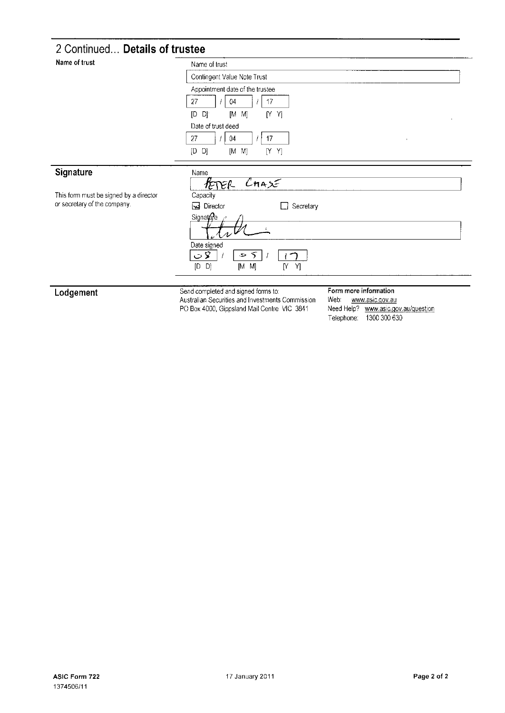# 2 Continued... Details of trustee

| Name of trust                          | Name of trust                                                                                                                                                                                    |  |  |  |
|----------------------------------------|--------------------------------------------------------------------------------------------------------------------------------------------------------------------------------------------------|--|--|--|
|                                        | Contingent Value Note Trust                                                                                                                                                                      |  |  |  |
|                                        | Appointment date of the trustee                                                                                                                                                                  |  |  |  |
|                                        | 27<br>17<br>04                                                                                                                                                                                   |  |  |  |
|                                        | [D<br>[M<br>[Y Y]<br>Dj<br>M]                                                                                                                                                                    |  |  |  |
|                                        | Date of trust deed                                                                                                                                                                               |  |  |  |
|                                        | 27<br>17<br>04<br>$\lambda$                                                                                                                                                                      |  |  |  |
|                                        | [D]<br>[Y Y]<br>D)<br>$[M \ M]$                                                                                                                                                                  |  |  |  |
| Signature                              | Name                                                                                                                                                                                             |  |  |  |
|                                        | $C$ HASE<br>PETER-                                                                                                                                                                               |  |  |  |
| This form must be signed by a director | Capacity                                                                                                                                                                                         |  |  |  |
| or secretary of the company.           | Director<br>Secretary                                                                                                                                                                            |  |  |  |
|                                        | Signature                                                                                                                                                                                        |  |  |  |
|                                        | Date signed                                                                                                                                                                                      |  |  |  |
|                                        | $\circ$ 8<br>5<br>$\ddot{\phantom{0}}$<br>$[D \quad D]$<br>Y]<br>$[M \ M]$<br>Y                                                                                                                  |  |  |  |
|                                        |                                                                                                                                                                                                  |  |  |  |
| Lodgement                              | Form more information<br>Send completed and signed forms to:<br>$\mathbf{A}$ and $\mathbf{A}$ are the set of $\mathbf{A}$<br><b>Address to the community of the community</b><br>$\cdot$ $\cdot$ |  |  |  |

Send completed and signed romis to:<br>Australian Securities and Investments Commission<br>PO Box 4000, Gippsland Mail Centre VIC 3841

Veb: www.asic.gov.au<br>Need Help? www.asic.gov.au/guestion<br>Telephone: 1300 300 630